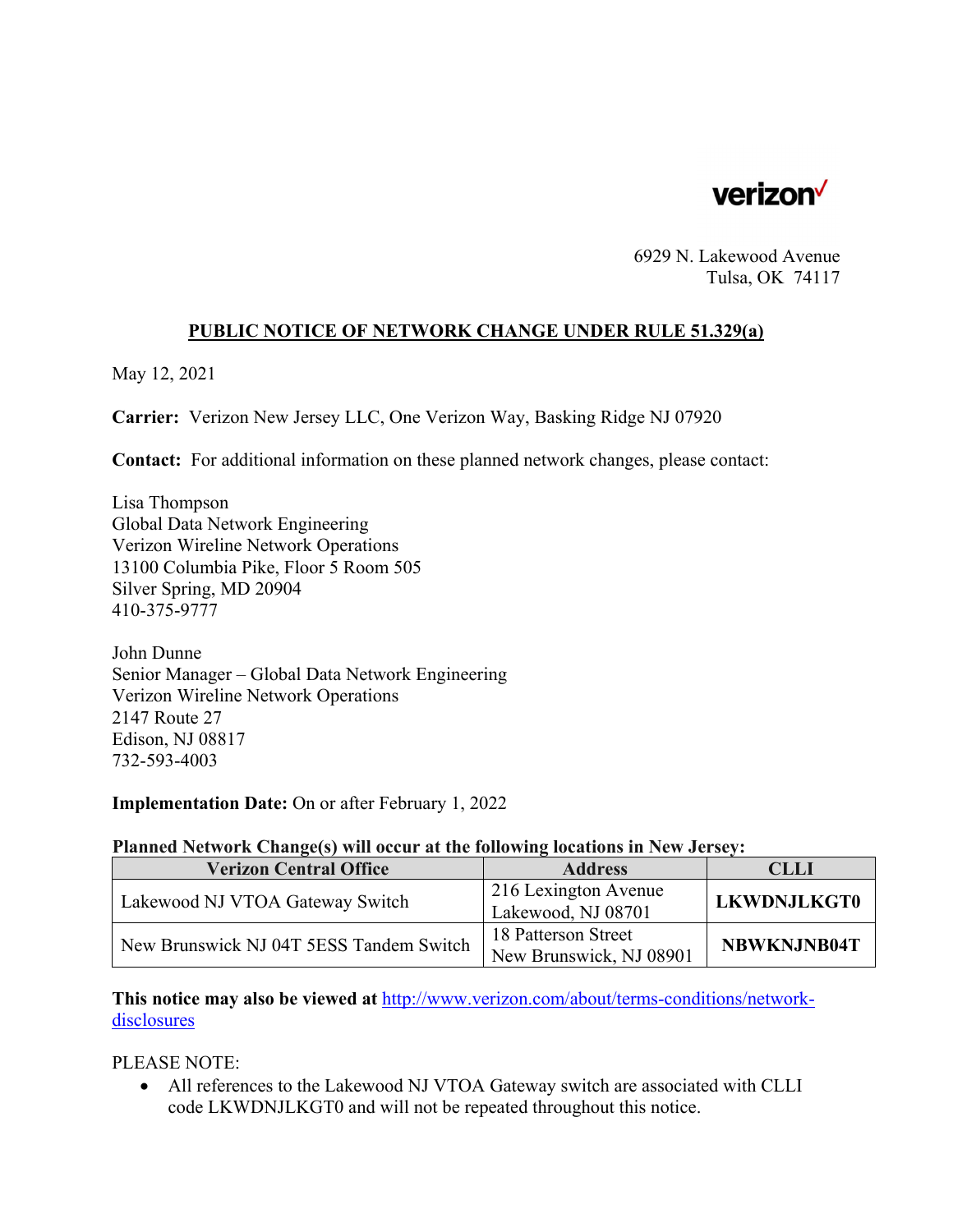

6929 N. Lakewood Avenue Tulsa, OK 74117

## **PUBLIC NOTICE OF NETWORK CHANGE UNDER RULE 51.329(a)**

May 12, 2021

**Carrier:** Verizon New Jersey LLC, One Verizon Way, Basking Ridge NJ 07920

**Contact:** For additional information on these planned network changes, please contact:

Lisa Thompson Global Data Network Engineering Verizon Wireline Network Operations 13100 Columbia Pike, Floor 5 Room 505 Silver Spring, MD 20904 410-375-9777

John Dunne Senior Manager – Global Data Network Engineering Verizon Wireline Network Operations 2147 Route 27 Edison, NJ 08817 732-593-4003

**Implementation Date:** On or after February 1, 2022

## **Planned Network Change(s) will occur at the following locations in New Jersey:**

| <b>Verizon Central Office</b>           | <b>Address</b>          | CLLI               |
|-----------------------------------------|-------------------------|--------------------|
| Lakewood NJ VTOA Gateway Switch         | 216 Lexington Avenue    |                    |
|                                         | Lakewood, NJ 08701      | <b>LKWDNJLKGT0</b> |
| New Brunswick NJ 04T 5ESS Tandem Switch | 18 Patterson Street     | NBWKNJNB04T        |
|                                         | New Brunswick, NJ 08901 |                    |

**This notice may also be viewed at** http://www.verizon.com/about/terms-conditions/networkdisclosures

PLEASE NOTE:

 All references to the Lakewood NJ VTOA Gateway switch are associated with CLLI code LKWDNJLKGT0 and will not be repeated throughout this notice.